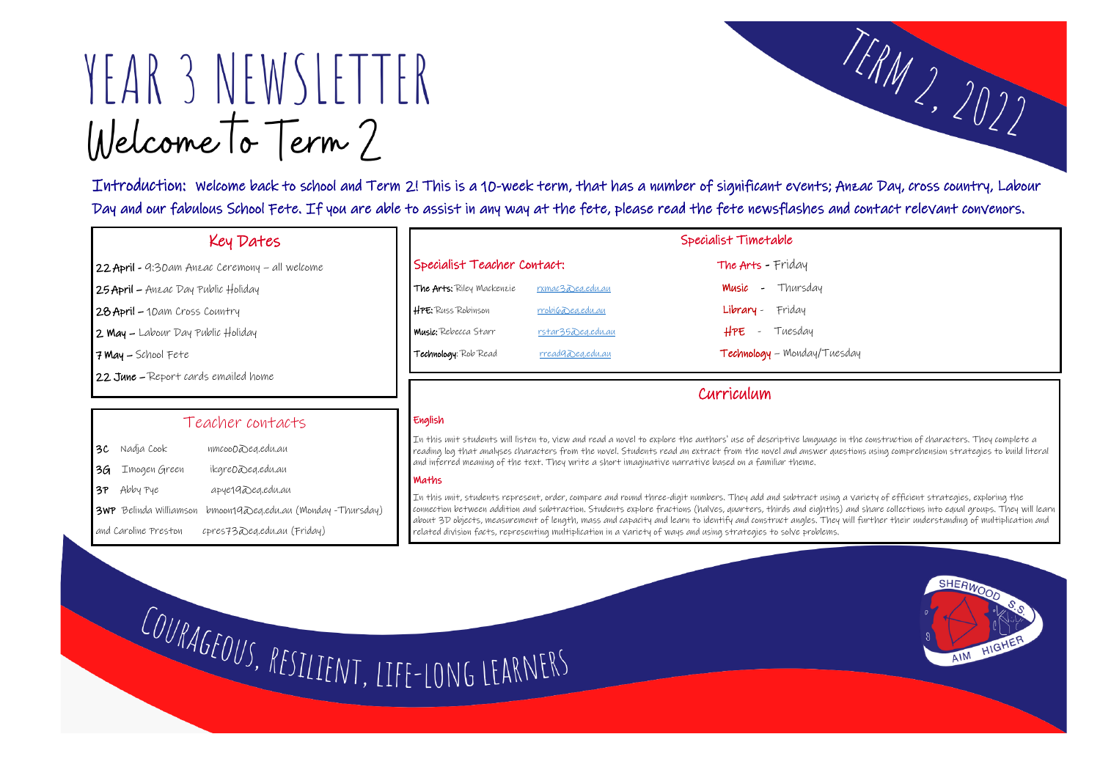# YEAR 3 NEWSLETTER Welcome To Term?

Introduction: Welcome back to school and Term 2! This is a 10-week term, that has a number of significant events; Anzac Day, cross country, Labour Day and our fabulous School Fete. If you are able to assist in any way at the fete, please read the fete newsflashes and contact relevant convenors.

# Key Dates

- 22 April 9:30am Anzac Ceremony all welcome
- 25 April Anzac Day Public Holiday
- 28 April 10am Cross Country
- 2 May Labour Day Public Holiday
- 7 May School Fete

 $\overline{\phantom{a}}$ 

1

22 June – Report cards emailed home

|                             |                          | Specialist Timetable        |
|-----------------------------|--------------------------|-----------------------------|
| Specialist Teacher Contact: |                          | The Arts - Friday           |
| The Arts: Riley Mackenzie   | rxmac3 Deg.edu.au        | <b>Music</b> - Thursday     |
| HPE: Russ Robinson          | $rrobi$ $($ ea.edu.au    | Library - Friday            |
| <b>Music:</b> Rebecca Starr | <u>rstar35Deg.edu.au</u> | - Tuesday<br>HPE            |
| Technology: Rob Read        | <u>rreadgabeg.edu.au</u> | Technology - Monday/Tuesday |

In this unit students will listen to, view and read a novel to explore the authors' use of descriptive language in the construction of characters. They complete a reading log that analyses characters from the novel. Students read an extract from the novel and answer questions using comprehension strategies to build literal and inferred meaning of the text. They write a short imaginative narrative based on a familiar theme.

#### Teacher contacts

- 3C Nadja Cook nmcoo0@eq.edu.au 3G Imogen Green ikgre0@eq.edu.au
- 3P Abby Pye apye19@eq.edu.au
- 3WP Belinda Williamson bmoon19@eq.edu.au (Monday -Thursday)
- and Caroline Preston cpres73@eq.edu.au (Friday)

# Curriculum

#### English

#### Maths

In this unit, students represent, order, compare and round three-digit numbers. They add and subtract using a variety of efficient strategies, exploring the connection between addition and subtraction. Students explore fractions (halves, quarters, thirds and eighths) and share collections into equal groups. They will learn about 3D objects, measurement of length, mass and capacity and learn to identify and construct angles. They will further their understanding of multiplication and related division facts, representing multiplication in a variety of ways and using strategies to solve problems.

COURAGEOUS, RESILIENT, LIFE-LONG LEARNERS